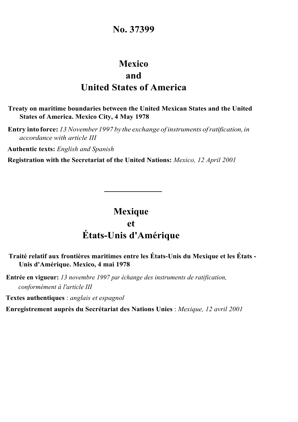## **No. 37399**

# **Mexico and United States of America**

### **Treaty on maritime boundaries between the United Mexican States and the United States of America. Mexico City, 4 May 1978**

**Entry into force:** *13November 1997 by the exchange of instruments ofratification, in accordance with article III*

**Authentic texts:** *English and Spanish*

**Registration with the Secretariat of the United Nations:** *Mexico, 12 April 2001*

# **Mexique et États-Unis d'Amérique**

## **Traité relatif aux frontières maritimes entre les États-Unis du Mexique et les États - Unis d'Amérique. Mexico, 4 mai 1978**

**Entrée en vigueur:** *13 novembre 1997 par échange des instruments de ratification, conformément à l'article III* 

**Textes authentiques** : *anglais et espagnol*

**Enregistrement auprès du Secrétariat des Nations Unies** : *Mexique, 12 avril 2001*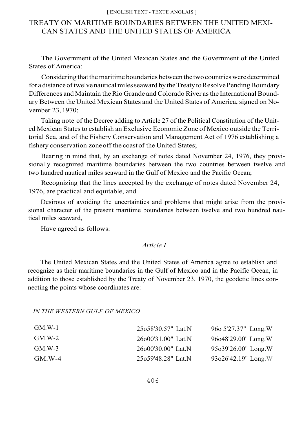#### [ ENGLISH TEXT - TEXTE ANGLAIS ]

## TREATY ON MARITIME BOUNDARIES BETWEEN THE UNITED MEXI-CAN STATES AND THE UNITED STATES OF AMERICA

The Government of the United Mexican States and the Government of the United States of America:

Considering that the maritime boundaries between the two countries were determined for a distance of twelve nautical miles seaward by the Treaty to Resolve Pending Boundary Differences and Maintain the Rio Grande and Colorado River asthe International Boundary Between the United Mexican States and the United States of America, signed on November 23,1970;

Taking note of the Decree adding to Article 27 of the Political Constitution of the United Mexican States to establish an Exclusive Economic Zone of Mexico outside the Territorial Sea, and of the Fishery Conservation and Management Act of 1976 establishing a fishery conservation zoneoff the coast of the United States;

Bearing in mind that, by an exchange of notes dated November 24, 1976, they provisionally recognized maritime boundaries between the two countries between twelve and two hundred nautical miles seaward in the Gulf of Mexico and the Pacific Ocean;

Recognizing that the lines accepted by the exchange of notes dated November 24, 1976, are practical and equitable, and

Desirous of avoiding the uncertainties and problems that might arise from the provisional character of the present maritime boundaries between twelve and two hundred nautical miles seaward,

Have agreed as follows:

#### *Article I*

The United Mexican States and the United States of America agree to establish and recognize as their maritime boundaries in the Gulf of Mexico and in the Pacific Ocean, in addition to those established by the Treaty of November 23, 1970, the geodetic lines connecting the points whose coordinates are:

*IN THE WESTERN GULF OF MEXICO*

| $GM.W-1$ | 25o58'30.57" Lat.N  | 960 5'27.37" Long.W     |
|----------|---------------------|-------------------------|
| $GM.W-2$ | 26×000'31.00" Lat.N | 96o48'29.00" Long.W     |
| $GM.W-3$ | 26000'30.00" Lat.N  | 95o39'26.00" Long.W     |
| $GM.W-4$ | 25o59'48.28" Lat.N  | $93o26'42.19''$ Long. W |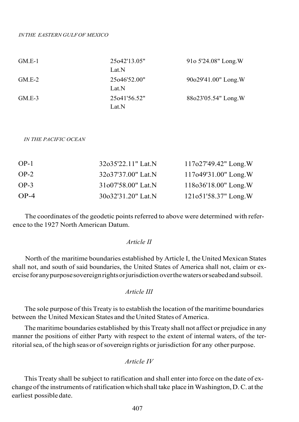| $GM.E-1$ | 25 <sub>0</sub> 42'13.05" | 910 5'24.08" Long.W |
|----------|---------------------------|---------------------|
|          | Lat.N                     |                     |
| $GM.E-2$ | 25 <sub>0</sub> 46'52.00" | 90o29'41.00" Long.W |
|          | Lat.N                     |                     |
| $GM.E-3$ | 25o41'56.52"              | 88o23'05.54" Long.W |
|          | Lat.N                     |                     |

*IN THE PACIFIC OCEAN*

| $OP-1$ | 32o35'22.11" Lat.N              | $117027'49.42''$ Long.W  |
|--------|---------------------------------|--------------------------|
| $OP-2$ | 32o37'37.00" Lat.N              | $117o49'31.00''$ Long. W |
| $OP-3$ | 31 <sub>0</sub> 07'58.00" Lat.N | $118o36'18.00''$ Long. W |
| $OP-4$ | 30o32'31.20" Lat.N              | $121051'58.37"$ Long. W  |

The coordinates of the geodetic points referred to above were determined with reference to the 1927 North American Datum.

#### *Article II*

North of the maritime boundaries established by Article I, the United Mexican States shall not, and south of said boundaries, the United States of America shall not, claim or exerciseforanypurposesovereignrights orjurisdiction overthewaters orseabedandsubsoil.

#### *Article III*

The sole purpose of this Treaty is to establish the location of the maritime boundaries between the United Mexican States and the United States of America.

The maritime boundaries established by this Treaty shall not affect or prejudice in any manner the positions of either Party with respect to the extent of internal waters, of the territorial sea, of the high seasor ofsovereign rights or jurisdiction for any other purpose.

*Article IV*

This Treaty shall be subject to ratification and shall enter into force on the date of exchangeof the instruments of ratification which shall take place in Washington, D.C. at the earliest possible date.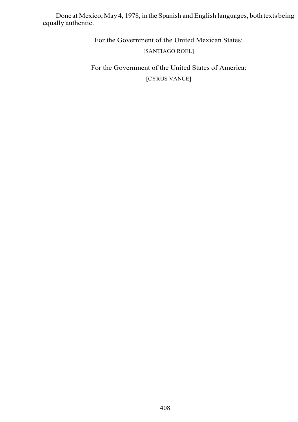Done at Mexico, May 4, 1978, in the Spanish and English languages, both texts being equally authentic.

For the Government of the United Mexican States:

## [SANTIAGO ROEL]

For the Government of the United States of America: [CYRUS VANCE]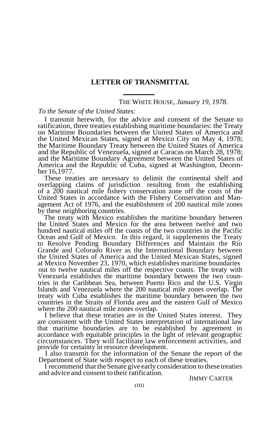## **LETTER OF TRANSMITTAL**

#### THE WHITE HOUSE, *January 19, 1978.*

#### *To the Senate of the United States:*

I transmit herewith, for the advice and consent of the Senate to ratification, three treaties establishing maritime boundaries: the Treaty on Maritime Boundaries between the United States of America and the United Mexican States, signed at Mexico City on May 4, 1978; the Maritime Boundary Treaty between the United States of America and the Republic of Venezuela, signed at Caracas on March 28, 1978; and the Maritime Boundary Agreement between the United States of America and the Republic of Cuba, signed at Washington, December 16,1977.

These treaties are necessary to delimit the continental shelf and overlapping claims of jurisdiction resulting from the establishing of a 200 nautical mile fishery conservation zone off the costs of the United States in accordance with the Fishery Conservation and Management Act of 1976, and the establishment of 200 nautical mile zones by these neighboring countries.

The treaty with Mexico establishes the maritime boundary between the United States and Mexico for the area between twelve and two hundred nautical miles off the coasts of the two countries in the Pacific Ocean and Gulf of Mexico. In this regard, it supplements the Treaty to Resolve Pending Boundary Differences and Maintain the Rio Grande and Colorado River as the International Boundary between the United States of America and the United Mexican States, signed at Mexico November 23, 1970, which establishes maritime boundaries out to twelve nautical miles off the respective coasts. The treaty with Venezuela establishes the maritime boundary between the two countries in the Caribbean Sea, between Puerto Rico and the U.S. Virgin Islands and Venezuela where the 200 nautical mile zones overlap. The treaty with Cuba establishes the maritime boundary between the two countries in the Straits of Florida area and the eastern Gulf of Mexico where the 200 nautical mile zones overlap.

I believe that these treaties are in the United States interest. They are consistent with the United States interpretation of international law that maritime boundaries are to be established by agreement in accordance with equitable principles in the light of relevant geographic circumstances. They will facilitate law enforcement activities, and provide for certainty in resource development.

I also transmit for the information of the Senate the report of the Department of State with respect to each of these treaties.

I recommend that the Senate give early consideration to these treaties and advice and consent to their ratification.

JIMMY CARTER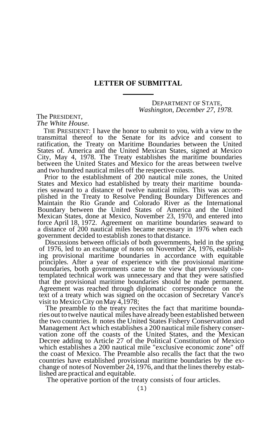## **LETTER OF SUBMITTAL**

### DEPARTMENT OF STATE, *Washington, December 27, 1978.*

The PRESIDENT, *The White House.*

THE PRESIDENT: I have the honor to submit to you, with a view to the transmittal thereof to the Senate for its advice and consent to ratification, the Treaty on Maritime Boundaries between the United States of. America and the United Mexican States, signed at Mexico City, May 4, 1978. The Treaty establishes the maritime boundaries between the United States and Mexico for the areas between twelve and two hundred nautical miles off the respective coasts.

Prior to the establishment of 200 nautical mile zones, the United States and Mexico had established by treaty their maritime boundaries seaward to a distance of twelve nautical miles. This was accomplished in the Treaty to Resolve Pending Boundary Differences and Maintain the Rio Grande and Colorado River as the International Boundary between the United States of America and the United Mexican States, done at Mexico, November 23, 1970, and entered into force April 18, 1972. Agreement on maritime boundaries seaward to a distance of 200 nautical miles became necessary in 1976 when each government decided to establish zones to that distance.

Discussions between officials of both governments, held in the spring of 1976, led to an exchange of notes on November 24, 1976, establishing provisional maritime boundaries in accordance with equitable principles. After a year of experience with the provisional maritime boundaries, both governments came to the view that previously contemplated technical work was unnecessary and that they were satisfied that the provisional maritime boundaries should be made permanent. Agreement was reached through diplomatic correspondence on the text of a treaty which was signed on the occasion of Secretary Vance's visit to Mexico City onMay 4,1978;

The preamble to the treaty recites the fact that maritime boundaries out to twelve nautical miles have already been established between the two countries. It notes the United States Fishery Conservation and Management Act which establishes a 200 nautical mile fishery conservation zone off the coasts of the United States, and the Mexican Decree adding to Article 27 of the Political Constitution of Mexico which establishes a 200 nautical mile "exclusive economic zone" off the coast of Mexico. The Preamble also recalls the fact that the two countries have established provisional maritime boundaries by the exchange of notes of November 24, 1976, and that the lines thereby estab-<br>lished are practical and equitable.<br>The operative portion of the treaty consists of four articles.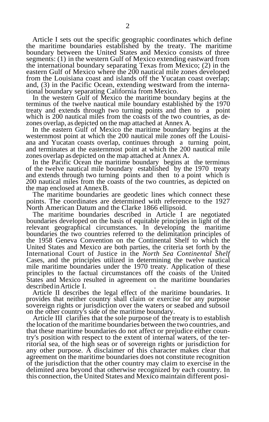Article I sets out the specific geographic coordinates which define the maritime boundaries established by the treaty. The maritime boundary between the United States and Mexico consists of three segments: (1) in the western Gulf of Mexico extending eastward from the international boundary separating Texas from Mexico; (2) in the eastern Gulf of Mexico where the 200 nautical mile zones developed from the Louisiana coast and islands off the Yucatan coast overlap; and, (3) in the Pacific Ocean, extending westward from the international boundary separating California from Mexico.

In the western Gulf of Mexico the maritime boundary begins at the terminus of the twelve nautical mile boundary established by the 1970 treaty and extends through two turning points and then to a point which is 200 nautical miles from the coasts of the two countries, as dezones overlap, as depicted on the map attached at Annex A.

In the eastern Gulf of Mexico the maritime boundary begins at the westernmost point at which the 200 nautical mile zones off the Louisiana and Yucatan coasts overlap, continues through a turning point, and terminates at the easternmost point at which the 200 nautical mile zones overlap as depicted on the map attached at Annex A.

In the Pacific Ocean the maritime boundary begins at the terminus of the twelve nautical mile boundary established by the 1970 treaty and extends through two turning points and then to a point which is 200 nautical miles from the coasts of the two countries, as depicted on the map enclosed at AnnexB.

The maritime boundaries are geodetic lines which connect these points. The coordinates are determined with reference to the 1927 North American Datum and the Clarke 1866 ellipsoid.

The maritime boundaries described in Article I are negotiated boundaries developed on the basis of equitable principles in light of the relevant geographical circumstances. In developing the maritime boundaries the two countries referred to the delimitation principles of the 1958 Geneva Convention on the Continental Shelf to which the United States and Mexico are both parties, the criteria set forth by the International Court of Justice in the *North Sea Continental Shelf* Cases, and the principles utilized in determining the twelve nautical mile maritime boundaries under the 1970 treaty. Application of these principles to the factual circumstances off the coasts of the United States and Mexico resulted in agreement on the maritime boundaries describedinArticle I. .

Article II describes the legal effect of the maritime boundaries. It provides that neither country shall claim or exercise for any purpose sovereign rights or jurisdiction over the waters or seabed and subsoil on the other country's side of the maritime boundary.

Article III clarifies that the sole purpose of the treaty is to establish the location of the maritime boundaries between the two countries, and that these maritime boundaries do not affect or prejudice either country's position with respect to the extent of internal waters, of the territorial sea, of the high seas or of sovereign rights or jurisdiction for any other purpose. A disclaimer of this character makes clear that agreement on the maritime boundaries does not constitute recognition of the jurisdiction that the other country may claim to exercise in the delimited area beyond that otherwise recognized by each country. In this connection, the United States and Mexico maintain different posi-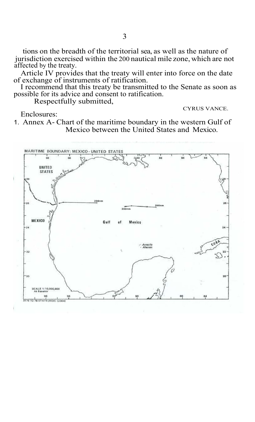tions on the breadth of the territorial sea, as well as the nature of jurisdiction exercised within the 200 nautical mile zone, which are not affected by the treaty.

Article IV provides that the treaty will enter into force on the date of exchange of instruments of ratification.

I recommend that this treaty be transmitted to the Senate as soon as possible for its advice and consent to ratification.

Respectfully submitted,

CYRUS VANCE.

Enclosures: 1. Annex A- Chart of the maritime boundary in the western Gulf of Mexico between the United States and Mexico.